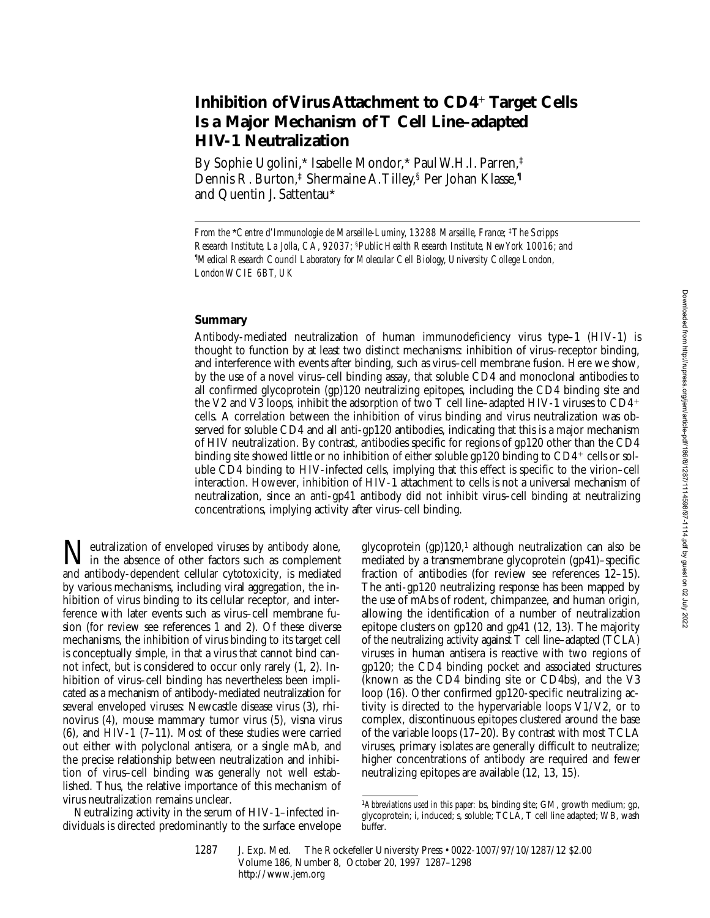# **Inhibition of Virus Attachment to CD4<sup>+</sup> Target Cells Is a Major Mechanism of T Cell Line–adapted HIV-1 Neutralization**

By Sophie Ugolini,\* Isabelle Mondor,\* Paul W.H.I. Parren,‡ Dennis R. Burton,<sup>‡</sup> Shermaine A. Tilley,<sup>§</sup> Per Johan Klasse,<sup>1</sup> and Quentin J. Sattentau\*

### **Summary**

Antibody-mediated neutralization of human immunodeficiency virus type–1 (HIV-1) is thought to function by at least two distinct mechanisms: inhibition of virus–receptor binding, and interference with events after binding, such as virus–cell membrane fusion. Here we show, by the use of a novel virus–cell binding assay, that soluble CD4 and monoclonal antibodies to all confirmed glycoprotein (gp)120 neutralizing epitopes, including the CD4 binding site and the V2 and V3 loops, inhibit the adsorption of two T cell line–adapted HIV-1 viruses to  $CD4^+$ cells. A correlation between the inhibition of virus binding and virus neutralization was observed for soluble CD4 and all anti-gp120 antibodies, indicating that this is a major mechanism of HIV neutralization. By contrast, antibodies specific for regions of gp120 other than the CD4 binding site showed little or no inhibition of either soluble gp120 binding to  $CD4^+$  cells or soluble CD4 binding to HIV-infected cells, implying that this effect is specific to the virion–cell interaction. However, inhibition of HIV-1 attachment to cells is not a universal mechanism of neutralization, since an anti-gp41 antibody did not inhibit virus–cell binding at neutralizing concentrations, implying activity after virus–cell binding.

Teutralization of enveloped viruses by antibody alone, in the absence of other factors such as complement and antibody-dependent cellular cytotoxicity, is mediated by various mechanisms, including viral aggregation, the inhibition of virus binding to its cellular receptor, and interference with later events such as virus–cell membrane fusion (for review see references 1 and 2). Of these diverse mechanisms, the inhibition of virus binding to its target cell is conceptually simple, in that a virus that cannot bind cannot infect, but is considered to occur only rarely (1, 2). Inhibition of virus–cell binding has nevertheless been implicated as a mechanism of antibody-mediated neutralization for several enveloped viruses: Newcastle disease virus (3), rhinovirus (4), mouse mammary tumor virus (5), visna virus (6), and HIV-1 (7–11). Most of these studies were carried out either with polyclonal antisera, or a single mAb, and the precise relationship between neutralization and inhibition of virus–cell binding was generally not well established. Thus, the relative importance of this mechanism of virus neutralization remains unclear.

Neutralizing activity in the serum of HIV-1–infected individuals is directed predominantly to the surface envelope glycoprotein (gp)120,<sup>1</sup> although neutralization can also be mediated by a transmembrane glycoprotein (gp41)–specific fraction of antibodies (for review see references 12–15). The anti-gp120 neutralizing response has been mapped by the use of mAbs of rodent, chimpanzee, and human origin, allowing the identification of a number of neutralization epitope clusters on gp120 and gp41 (12, 13). The majority of the neutralizing activity against T cell line–adapted (TCLA) viruses in human antisera is reactive with two regions of gp120; the CD4 binding pocket and associated structures (known as the CD4 binding site or CD4bs), and the V3 loop (16). Other confirmed gp120-specific neutralizing activity is directed to the hypervariable loops V1/V2, or to complex, discontinuous epitopes clustered around the base of the variable loops (17–20). By contrast with most TCLA viruses, primary isolates are generally difficult to neutralize; higher concentrations of antibody are required and fewer neutralizing epitopes are available (12, 13, 15).

*From the* \**Centre d'Immunologie de Marseille-Luminy, 13288 Marseille, France;* ‡*The Scripps Research Institute, La Jolla, CA, 92037;* §*Public Health Research Institute, New York 10016; and ¶ Medical Research Council Laboratory for Molecular Cell Biology, University College London, London WCIE 6BT, UK*

<sup>1</sup>*Abbreviations used in this paper:* bs, binding site; GM, growth medium; gp, glycoprotein; i, induced; s, soluble; TCLA, T cell line adapted; WB, wash buffer.

<sup>1287</sup> J. Exp. Med. The Rockefeller University Press • 0022-1007/97/10/1287/12 \$2.00 Volume 186, Number 8, October 20, 1997 1287–1298 http://www.jem.org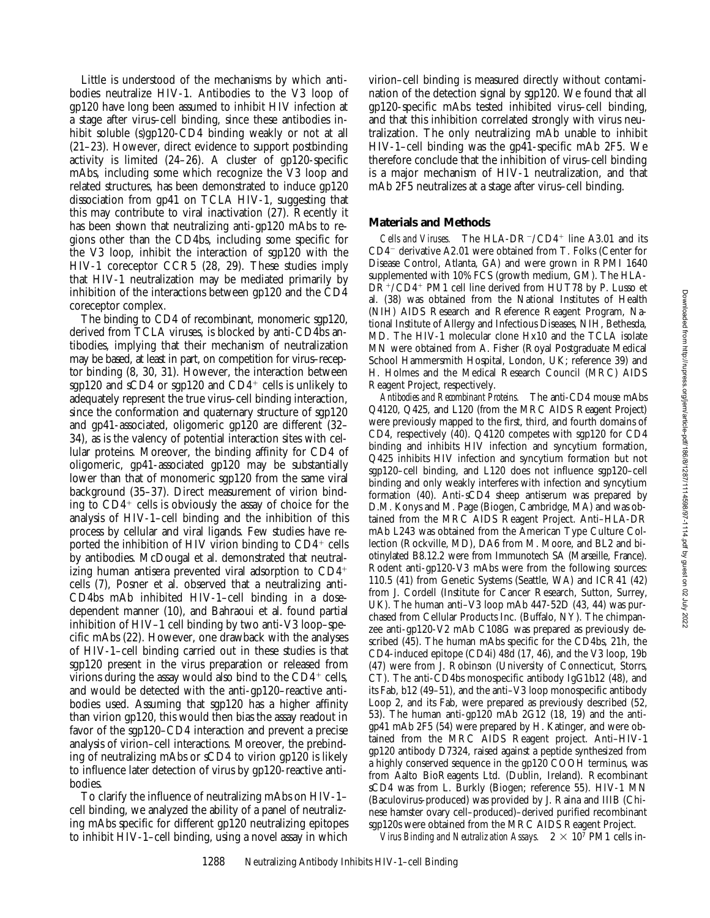Little is understood of the mechanisms by which antibodies neutralize HIV-1. Antibodies to the V3 loop of gp120 have long been assumed to inhibit HIV infection at a stage after virus–cell binding, since these antibodies inhibit soluble (s)gp120-CD4 binding weakly or not at all (21–23). However, direct evidence to support postbinding activity is limited (24–26). A cluster of gp120-specific mAbs, including some which recognize the V3 loop and related structures, has been demonstrated to induce gp120 dissociation from gp41 on TCLA HIV-1, suggesting that this may contribute to viral inactivation (27). Recently it has been shown that neutralizing anti-gp120 mAbs to regions other than the CD4bs, including some specific for the V3 loop, inhibit the interaction of sgp120 with the HIV-1 coreceptor CCR5 (28, 29). These studies imply that HIV-1 neutralization may be mediated primarily by inhibition of the interactions between gp120 and the CD4 coreceptor complex.

The binding to CD4 of recombinant, monomeric sgp120, derived from TCLA viruses, is blocked by anti-CD4bs antibodies, implying that their mechanism of neutralization may be based, at least in part, on competition for virus–receptor binding (8, 30, 31). However, the interaction between sgp120 and sCD4 or sgp120 and  $CD4^+$  cells is unlikely to adequately represent the true virus–cell binding interaction, since the conformation and quaternary structure of sgp120 and gp41-associated, oligomeric gp120 are different (32– 34), as is the valency of potential interaction sites with cellular proteins. Moreover, the binding affinity for CD4 of oligomeric, gp41-associated gp120 may be substantially lower than that of monomeric sgp120 from the same viral background (35–37). Direct measurement of virion binding to  $CD4^+$  cells is obviously the assay of choice for the analysis of HIV-1–cell binding and the inhibition of this process by cellular and viral ligands. Few studies have reported the inhibition of HIV virion binding to  $CD4^+$  cells by antibodies. McDougal et al. demonstrated that neutralizing human antisera prevented viral adsorption to  $CD4<sup>+</sup>$ cells (7), Posner et al. observed that a neutralizing anti-CD4bs mAb inhibited HIV-1–cell binding in a dosedependent manner (10), and Bahraoui et al. found partial inhibition of HIV–1 cell binding by two anti-V3 loop–specific mAbs (22). However, one drawback with the analyses of HIV-1–cell binding carried out in these studies is that sgp120 present in the virus preparation or released from virions during the assay would also bind to the  $CD4^+$  cells, and would be detected with the anti-gp120–reactive antibodies used. Assuming that sgp120 has a higher affinity than virion gp120, this would then bias the assay readout in favor of the sgp120–CD4 interaction and prevent a precise analysis of virion–cell interactions. Moreover, the prebinding of neutralizing mAbs or sCD4 to virion gp120 is likely to influence later detection of virus by gp120-reactive antibodies.

To clarify the influence of neutralizing mAbs on HIV-1– cell binding, we analyzed the ability of a panel of neutralizing mAbs specific for different gp120 neutralizing epitopes to inhibit HIV-1–cell binding, using a novel assay in which virion–cell binding is measured directly without contamination of the detection signal by sgp120. We found that all gp120-specific mAbs tested inhibited virus–cell binding, and that this inhibition correlated strongly with virus neutralization. The only neutralizing mAb unable to inhibit HIV-1–cell binding was the gp41-specific mAb 2F5. We therefore conclude that the inhibition of virus–cell binding is a major mechanism of HIV-1 neutralization, and that mAb 2F5 neutralizes at a stage after virus–cell binding.

# **Materials and Methods**

*Cells and Viruses.* The  $HLA-DR^-/CD4^+$  line A3.01 and its CD4<sup>-</sup> derivative A2.01 were obtained from T. Folks (Center for Disease Control, Atlanta, GA) and were grown in RPMI 1640 supplemented with 10% FCS (growth medium, GM). The HLA-DR<sup>+</sup>/CD4<sup>+</sup> PM1 cell line derived from HUT78 by P. Lusso et al. (38) was obtained from the National Institutes of Health (NIH) AIDS Research and Reference Reagent Program, National Institute of Allergy and Infectious Diseases, NIH, Bethesda, MD. The HIV-1 molecular clone Hx10 and the TCLA isolate MN were obtained from A. Fisher (Royal Postgraduate Medical School Hammersmith Hospital, London, UK; reference 39) and H. Holmes and the Medical Research Council (MRC) AIDS Reagent Project, respectively.

*Antibodies and Recombinant Proteins.* The anti-CD4 mouse mAbs Q4120, Q425, and L120 (from the MRC AIDS Reagent Project) were previously mapped to the first, third, and fourth domains of CD4, respectively (40). Q4120 competes with sgp120 for CD4 binding and inhibits HIV infection and syncytium formation, Q425 inhibits HIV infection and syncytium formation but not sgp120–cell binding, and L120 does not influence sgp120–cell binding and only weakly interferes with infection and syncytium formation (40). Anti-sCD4 sheep antiserum was prepared by D.M. Konys and M. Page (Biogen, Cambridge, MA) and was obtained from the MRC AIDS Reagent Project. Anti–HLA-DR mAb L243 was obtained from the American Type Culture Collection (Rockville, MD), DA6 from M. Moore, and BL2 and biotinylated B8.12.2 were from Immunotech SA (Marseille, France). Rodent anti-gp120-V3 mAbs were from the following sources: 110.5 (41) from Genetic Systems (Seattle, WA) and ICR41 (42) from J. Cordell (Institute for Cancer Research, Sutton, Surrey, UK). The human anti–V3 loop mAb 447-52D (43, 44) was purchased from Cellular Products Inc. (Buffalo, NY). The chimpanzee anti-gp120-V2 mAb C108G was prepared as previously described (45). The human mAbs specific for the CD4bs, 21h, the CD4-induced epitope (CD4i) 48d (17, 46), and the V3 loop, 19b (47) were from J. Robinson (University of Connecticut, Storrs, CT). The anti-CD4bs monospecific antibody IgG1b12 (48), and its Fab, b12 (49–51), and the anti–V3 loop monospecific antibody Loop 2, and its Fab, were prepared as previously described (52, 53). The human anti-gp120 mAb 2G12 (18, 19) and the antigp41 mAb 2F5 (54) were prepared by H. Katinger, and were obtained from the MRC AIDS Reagent project. Anti–HIV-1 gp120 antibody D7324, raised against a peptide synthesized from a highly conserved sequence in the gp120 COOH terminus, was from Aalto BioReagents Ltd. (Dublin, Ireland). Recombinant sCD4 was from L. Burkly (Biogen; reference 55). HIV-1 MN (Baculovirus-produced) was provided by J. Raina and IIIB (Chinese hamster ovary cell–produced)–derived purified recombinant sgp120s were obtained from the MRC AIDS Reagent Project.

*Virus Binding and Neutralization Assays.*  $2 \times 10^7$  PM1 cells in-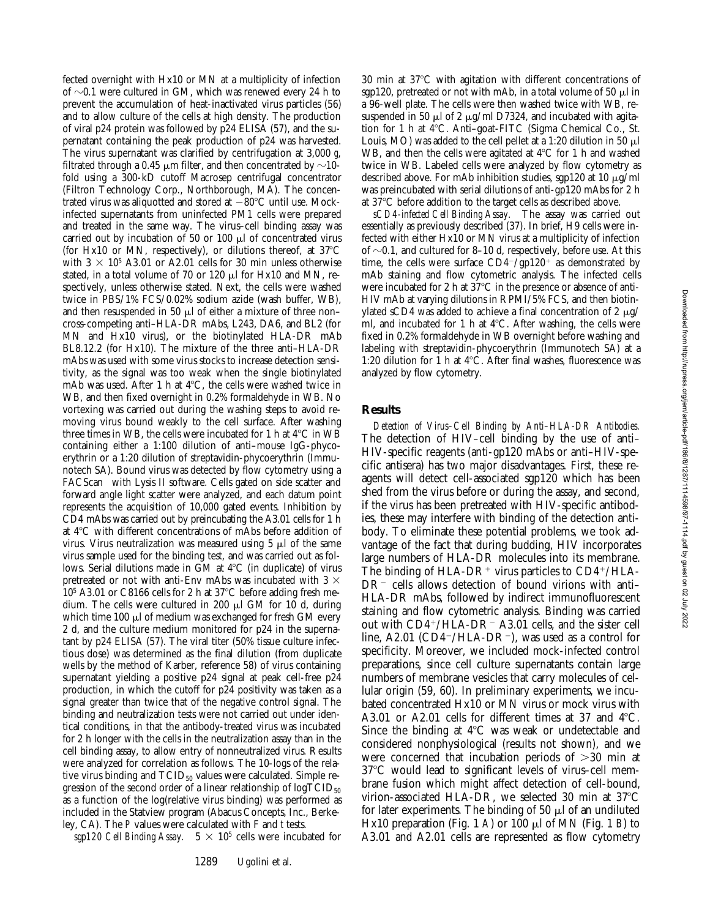fected overnight with Hx10 or MN at a multiplicity of infection of  $\sim$ 0.1 were cultured in GM, which was renewed every 24 h to prevent the accumulation of heat-inactivated virus particles (56) and to allow culture of the cells at high density. The production of viral p24 protein was followed by p24 ELISA (57), and the supernatant containing the peak production of p24 was harvested. The virus supernatant was clarified by centrifugation at 3,000 *g*, filtrated through a 0.45  $\mu$ m filter, and then concentrated by  $\sim$ 10fold using a 300-kD cutoff Macrosep centrifugal concentrator (Filtron Technology Corp., Northborough, MA). The concentrated virus was aliquotted and stored at  $-80^{\circ}$ C until use. Mockinfected supernatants from uninfected PM1 cells were prepared and treated in the same way. The virus–cell binding assay was carried out by incubation of 50 or 100  $\mu$ l of concentrated virus (for Hx10 or MN, respectively), or dilutions thereof, at  $37^{\circ}$ C with  $3 \times 10^5$  A3.01 or A2.01 cells for 30 min unless otherwise stated, in a total volume of 70 or 120  $\mu$ l for Hx10 and MN, respectively, unless otherwise stated. Next, the cells were washed twice in PBS/1% FCS/0.02% sodium azide (wash buffer, WB), and then resuspended in 50  $\mu$ l of either a mixture of three non– cross-competing anti–HLA-DR mAbs, L243, DA6, and BL2 (for MN and Hx10 virus), or the biotinylated HLA-DR mAb BL8.12.2 (for Hx10). The mixture of the three anti–HLA-DR mAbs was used with some virus stocks to increase detection sensitivity, as the signal was too weak when the single biotinylated mAb was used. After 1 h at  $4^{\circ}$ C, the cells were washed twice in WB, and then fixed overnight in 0.2% formaldehyde in WB. No vortexing was carried out during the washing steps to avoid removing virus bound weakly to the cell surface. After washing three times in WB, the cells were incubated for 1 h at  $4^{\circ}$ C in WB containing either a 1:100 dilution of anti–mouse IgG-phycoerythrin or a 1:20 dilution of streptavidin-phycoerythrin (Immunotech SA). Bound virus was detected by flow cytometry using a FACScan<sup>®</sup> with Lysis II software. Cells gated on side scatter and forward angle light scatter were analyzed, and each datum point represents the acquisition of 10,000 gated events. Inhibition by CD4 mAbs was carried out by preincubating the A3.01 cells for 1 h at  $4^{\circ}$ C with different concentrations of mAbs before addition of virus. Virus neutralization was measured using  $5 \mu$  of the same virus sample used for the binding test, and was carried out as follows. Serial dilutions made in GM at  $4^{\circ}$ C (in duplicate) of virus pretreated or not with anti-Env mAbs was incubated with 3  $\times$  $10<sup>5</sup>$  A3.01 or C8166 cells for 2 h at 37 $^{\circ}$ C before adding fresh medium. The cells were cultured in 200  $\mu$ l GM for 10 d, during which time 100  $\mu$ l of medium was exchanged for fresh GM every 2 d, and the culture medium monitored for p24 in the supernatant by p24 ELISA (57). The viral titer (50% tissue culture infectious dose) was determined as the final dilution (from duplicate wells by the method of Karber, reference 58) of virus containing supernatant yielding a positive p24 signal at peak cell-free p24 production, in which the cutoff for p24 positivity was taken as a signal greater than twice that of the negative control signal. The binding and neutralization tests were not carried out under identical conditions, in that the antibody-treated virus was incubated for 2 h longer with the cells in the neutralization assay than in the cell binding assay, to allow entry of nonneutralized virus. Results were analyzed for correlation as follows. The 10-logs of the relative virus binding and  $TCID_{50}$  values were calculated. Simple regression of the second order of a linear relationship of  $log\text{TCID}_{50}$ as a function of the log(relative virus binding) was performed as included in the Statview program (Abacus Concepts, Inc., Berkeley, CA). The *P* values were calculated with F and *t* tests.

*sgp120 Cell Binding Assay.*  $5 \times 10^5$  cells were incubated for

 $30$  min at  $37^{\circ}$ C with agitation with different concentrations of sgp120, pretreated or not with mAb, in a total volume of 50  $\mu$ l in a 96-well plate. The cells were then washed twice with WB, resuspended in 50  $\mu$ l of 2  $\mu$ g/ml D7324, and incubated with agitation for 1 h at 4°C. Anti-goat-FITC (Sigma Chemical Co., St. Louis, MO) was added to the cell pellet at a 1:20 dilution in 50  $\mu$ l WB, and then the cells were agitated at  $4^{\circ}$ C for 1 h and washed twice in WB. Labeled cells were analyzed by flow cytometry as described above. For mAb inhibition studies, sgp120 at 10  $\mu$ g/ml was preincubated with serial dilutions of anti-gp120 mAbs for 2 h at 37°C before addition to the target cells as described above.

*sCD4-infected Cell Binding Assay.* The assay was carried out essentially as previously described (37). In brief, H9 cells were infected with either Hx10 or MN virus at a multiplicity of infection of  $\sim$ 0.1, and cultured for 8–10 d, respectively, before use. At this time, the cells were surface  $CD4^-/gp120^+$  as demonstrated by mAb staining and flow cytometric analysis. The infected cells were incubated for 2 h at  $37^{\circ}$ C in the presence or absence of anti-HIV mAb at varying dilutions in RPMI/5% FCS, and then biotinylated sCD4 was added to achieve a final concentration of 2  $\mu$ g/ ml, and incubated for 1 h at  $4^{\circ}$ C. After washing, the cells were fixed in 0.2% formaldehyde in WB overnight before washing and labeling with streptavidin-phycoerythrin (Immunotech SA) at a 1:20 dilution for 1 h at  $4^{\circ}$ C. After final washes, fluorescence was analyzed by flow cytometry.

# **Results**

*Detection of Virus–Cell Binding by Anti–HLA-DR Antibodies.* The detection of HIV–cell binding by the use of anti– HIV-specific reagents (anti-gp120 mAbs or anti–HIV-specific antisera) has two major disadvantages. First, these reagents will detect cell-associated sgp120 which has been shed from the virus before or during the assay, and second, if the virus has been pretreated with HIV-specific antibodies, these may interfere with binding of the detection antibody. To eliminate these potential problems, we took advantage of the fact that during budding, HIV incorporates large numbers of HLA-DR molecules into its membrane. The binding of HLA-DR<sup>+</sup> virus particles to  $CD4^+/HLA$ - $DR^-$  cells allows detection of bound virions with anti-HLA-DR mAbs, followed by indirect immunofluorescent staining and flow cytometric analysis. Binding was carried out with  $CD4^+/HLA-DR^-$  A3.01 cells, and the sister cell line, A2.01 (CD4<sup>-</sup>/HLA-DR<sup>-</sup>), was used as a control for specificity. Moreover, we included mock-infected control preparations, since cell culture supernatants contain large numbers of membrane vesicles that carry molecules of cellular origin (59, 60). In preliminary experiments, we incubated concentrated Hx10 or MN virus or mock virus with A3.01 or A2.01 cells for different times at 37 and  $4^{\circ}$ C. Since the binding at  $4^{\circ}$ C was weak or undetectable and considered nonphysiological (results not shown), and we were concerned that incubation periods of  $>30$  min at 37°C would lead to significant levels of virus–cell membrane fusion which might affect detection of cell-bound, virion-associated HLA-DR, we selected 30 min at  $37^{\circ}$ C for later experiments. The binding of 50  $\mu$ l of an undiluted Hx10 preparation (Fig. 1 *A*) or 100 ml of MN (Fig. 1 *B*) to A3.01 and A2.01 cells are represented as flow cytometry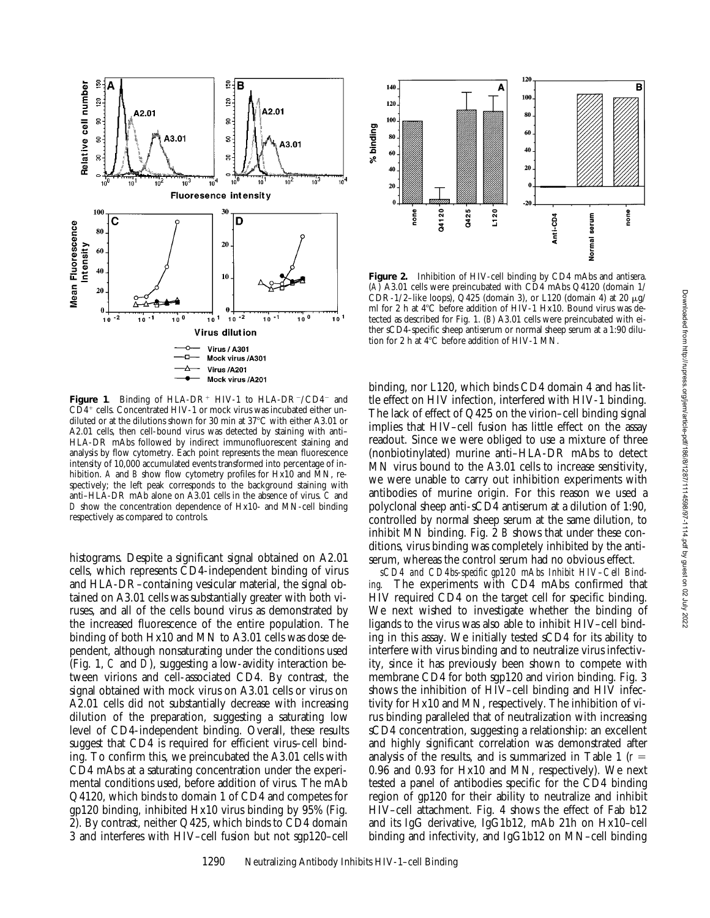

Figure 1. Binding of HLA-DR<sup>+</sup> HIV-1 to HLA-DR<sup>-</sup>/CD4<sup>-</sup> and  $CD4<sup>+</sup>$  cells. Concentrated HIV-1 or mock virus was incubated either undiluted or at the dilutions shown for 30 min at 37°C with either A3.01 or A2.01 cells, then cell-bound virus was detected by staining with anti– HLA-DR mAbs followed by indirect immunofluorescent staining and analysis by flow cytometry. Each point represents the mean fluorescence intensity of 10,000 accumulated events transformed into percentage of inhibition. *A* and *B* show flow cytometry profiles for Hx10 and MN, respectively; the left peak corresponds to the background staining with anti–HLA-DR mAb alone on A3.01 cells in the absence of virus. *C* and *D* show the concentration dependence of Hx10- and MN-cell binding respectively as compared to controls.

histograms. Despite a significant signal obtained on A2.01 cells, which represents CD4-independent binding of virus and HLA-DR–containing vesicular material, the signal obtained on A3.01 cells was substantially greater with both viruses, and all of the cells bound virus as demonstrated by the increased fluorescence of the entire population. The binding of both Hx10 and MN to A3.01 cells was dose dependent, although nonsaturating under the conditions used (Fig. 1, *C* and *D*), suggesting a low-avidity interaction between virions and cell-associated CD4. By contrast, the signal obtained with mock virus on A3.01 cells or virus on A2.01 cells did not substantially decrease with increasing dilution of the preparation, suggesting a saturating low level of CD4-independent binding. Overall, these results suggest that CD4 is required for efficient virus–cell binding. To confirm this, we preincubated the A3.01 cells with CD4 mAbs at a saturating concentration under the experimental conditions used, before addition of virus. The mAb Q4120, which binds to domain 1 of CD4 and competes for gp120 binding, inhibited Hx10 virus binding by 95% (Fig. 2). By contrast, neither Q425, which binds to CD4 domain 3 and interferes with HIV–cell fusion but not sgp120–cell



**Figure 2.** Inhibition of HIV-cell binding by CD4 mAbs and antisera. (*A*) A3.01 cells were preincubated with CD4 mAbs Q4120 (domain 1/ CDR-1/2-like loops), Q425 (domain 3), or L120 (domain 4) at 20  $\mu$ g/ ml for 2 h at 4°C before addition of HIV-1 Hx10. Bound virus was detected as described for Fig. 1. (*B*) A3.01 cells were preincubated with either sCD4-specific sheep antiserum or normal sheep serum at a 1:90 dilution for 2 h at  $4^{\circ}$ C before addition of HIV-1 MN.

binding, nor L120, which binds CD4 domain 4 and has little effect on HIV infection, interfered with HIV-1 binding. The lack of effect of Q425 on the virion–cell binding signal implies that HIV–cell fusion has little effect on the assay readout. Since we were obliged to use a mixture of three (nonbiotinylated) murine anti–HLA-DR mAbs to detect MN virus bound to the A3.01 cells to increase sensitivity, we were unable to carry out inhibition experiments with antibodies of murine origin. For this reason we used a polyclonal sheep anti-sCD4 antiserum at a dilution of 1:90, controlled by normal sheep serum at the same dilution, to inhibit MN binding. Fig. 2 *B* shows that under these conditions, virus binding was completely inhibited by the antiserum, whereas the control serum had no obvious effect.

*sCD4 and CD4bs-specific gp120 mAbs Inhibit HIV–Cell Binding.* The experiments with CD4 mAbs confirmed that HIV required CD4 on the target cell for specific binding. We next wished to investigate whether the binding of ligands to the virus was also able to inhibit HIV–cell binding in this assay. We initially tested sCD4 for its ability to interfere with virus binding and to neutralize virus infectivity, since it has previously been shown to compete with membrane CD4 for both sgp120 and virion binding. Fig. 3 shows the inhibition of HIV–cell binding and HIV infectivity for Hx10 and MN, respectively. The inhibition of virus binding paralleled that of neutralization with increasing sCD4 concentration, suggesting a relationship: an excellent and highly significant correlation was demonstrated after analysis of the results, and is summarized in Table 1  $(r =$ 0.96 and 0.93 for Hx10 and MN, respectively). We next tested a panel of antibodies specific for the CD4 binding region of gp120 for their ability to neutralize and inhibit HIV–cell attachment. Fig. 4 shows the effect of Fab b12 and its IgG derivative, IgG1b12, mAb 21h on Hx10–cell binding and infectivity, and IgG1b12 on MN–cell binding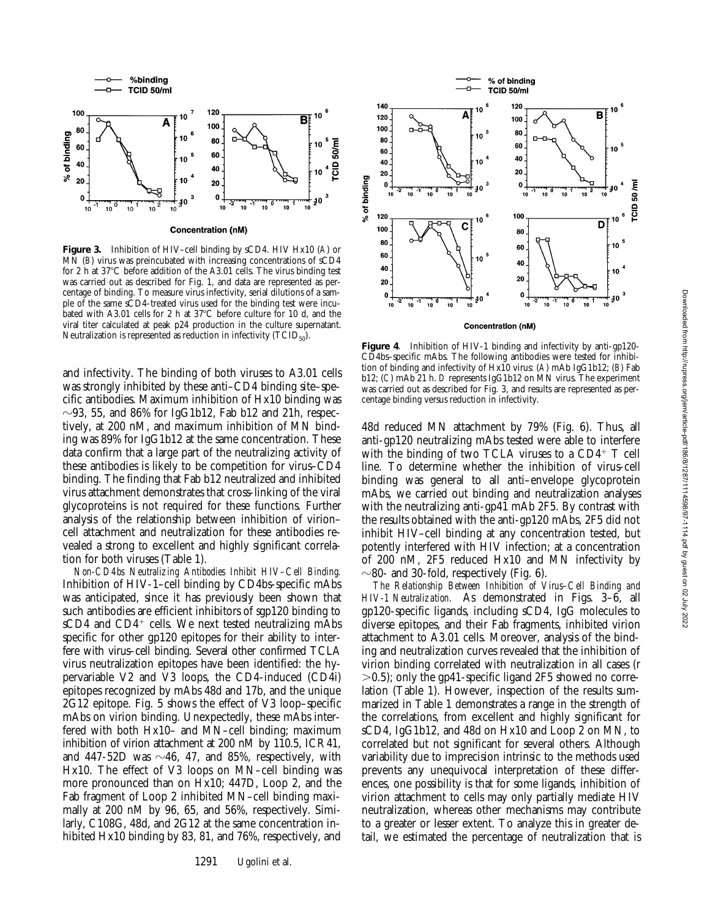

**Figure 3.** Inhibition of HIV–cell binding by sCD4. HIV Hx10 (*A*) or MN (*B*) virus was preincubated with increasing concentrations of sCD4 for 2 h at  $37^{\circ}$ C before addition of the A3.01 cells. The virus binding test was carried out as described for Fig. 1, and data are represented as percentage of binding. To measure virus infectivity, serial dilutions of a sample of the same sCD4-treated virus used for the binding test were incubated with A3.01 cells for 2 h at  $37^{\circ}$ C before culture for 10 d, and the viral titer calculated at peak p24 production in the culture supernatant.

Neutralization is represented as reduction in infectivity  $(TCID_{50})$ .

and infectivity. The binding of both viruses to A3.01 cells was strongly inhibited by these anti–CD4 binding site–specific antibodies. Maximum inhibition of Hx10 binding was  $\sim$ 93, 55, and 86% for IgG1b12, Fab b12 and 21h, respectively, at 200 nM, and maximum inhibition of MN binding was 89% for IgG1b12 at the same concentration. These data confirm that a large part of the neutralizing activity of these antibodies is likely to be competition for virus–CD4 binding. The finding that Fab b12 neutralized and inhibited virus attachment demonstrates that cross-linking of the viral glycoproteins is not required for these functions. Further analysis of the relationship between inhibition of virion– cell attachment and neutralization for these antibodies revealed a strong to excellent and highly significant correlation for both viruses (Table 1).

*Non-CD4bs Neutralizing Antibodies Inhibit HIV–Cell Binding.* Inhibition of HIV-1–cell binding by CD4bs-specific mAbs was anticipated, since it has previously been shown that such antibodies are efficient inhibitors of sgp120 binding to  $sCD4$  and  $CD4^+$  cells. We next tested neutralizing mAbs specific for other gp120 epitopes for their ability to interfere with virus–cell binding. Several other confirmed TCLA virus neutralization epitopes have been identified: the hypervariable V2 and V3 loops, the CD4-induced (CD4i) epitopes recognized by mAbs 48d and 17b, and the unique 2G12 epitope. Fig. 5 shows the effect of V3 loop–specific mAbs on virion binding. Unexpectedly, these mAbs interfered with both Hx10– and MN–cell binding; maximum inhibition of virion attachment at 200 nM by 110.5, ICR41, and 447-52D was  $\sim$ 46, 47, and 85%, respectively, with Hx10. The effect of V3 loops on MN–cell binding was more pronounced than on Hx10; 447D, Loop 2, and the Fab fragment of Loop 2 inhibited MN–cell binding maximally at 200 nM by 96, 65, and 56%, respectively. Similarly, C108G, 48d, and 2G12 at the same concentration inhibited Hx10 binding by 83, 81, and 76%, respectively, and



**Concentration (nM)** 

**Figure 4**. Inhibition of HIV-1 binding and infectivity by anti-gp120- CD4bs–specific mAbs. The following antibodies were tested for inhibition of binding and infectivity of Hx10 virus: (*A*) mAb IgG1b12; (*B*) Fab b12; (*C*) mAb 21 h. *D* represents IgG1b12 on MN virus. The experiment was carried out as described for Fig. 3, and results are represented as percentage binding versus reduction in infectivity.

48d reduced MN attachment by 79% (Fig. 6). Thus, all anti-gp120 neutralizing mAbs tested were able to interfere with the binding of two TCLA viruses to a  $CD4^+$  T cell line. To determine whether the inhibition of virus-cell binding was general to all anti–envelope glycoprotein mAbs, we carried out binding and neutralization analyses with the neutralizing anti-gp41 mAb 2F5. By contrast with the results obtained with the anti-gp120 mAbs, 2F5 did not inhibit HIV–cell binding at any concentration tested, but potently interfered with HIV infection; at a concentration of 200 nM, 2F5 reduced Hx10 and MN infectivity by  $\sim$ 80- and 30-fold, respectively (Fig. 6).

*The Relationship Between Inhibition of Virus–Cell Binding and HIV-1 Neutralization.* As demonstrated in Figs. 3–6, all gp120-specific ligands, including sCD4, IgG molecules to diverse epitopes, and their Fab fragments, inhibited virion attachment to A3.01 cells. Moreover, analysis of the binding and neutralization curves revealed that the inhibition of virion binding correlated with neutralization in all cases (r  $>0.5$ ; only the gp41-specific ligand 2F5 showed no correlation (Table 1). However, inspection of the results summarized in Table 1 demonstrates a range in the strength of the correlations, from excellent and highly significant for sCD4, IgG1b12, and 48d on Hx10 and Loop 2 on MN, to correlated but not significant for several others. Although variability due to imprecision intrinsic to the methods used prevents any unequivocal interpretation of these differences, one possibility is that for some ligands, inhibition of virion attachment to cells may only partially mediate HIV neutralization, whereas other mechanisms may contribute to a greater or lesser extent. To analyze this in greater detail, we estimated the percentage of neutralization that is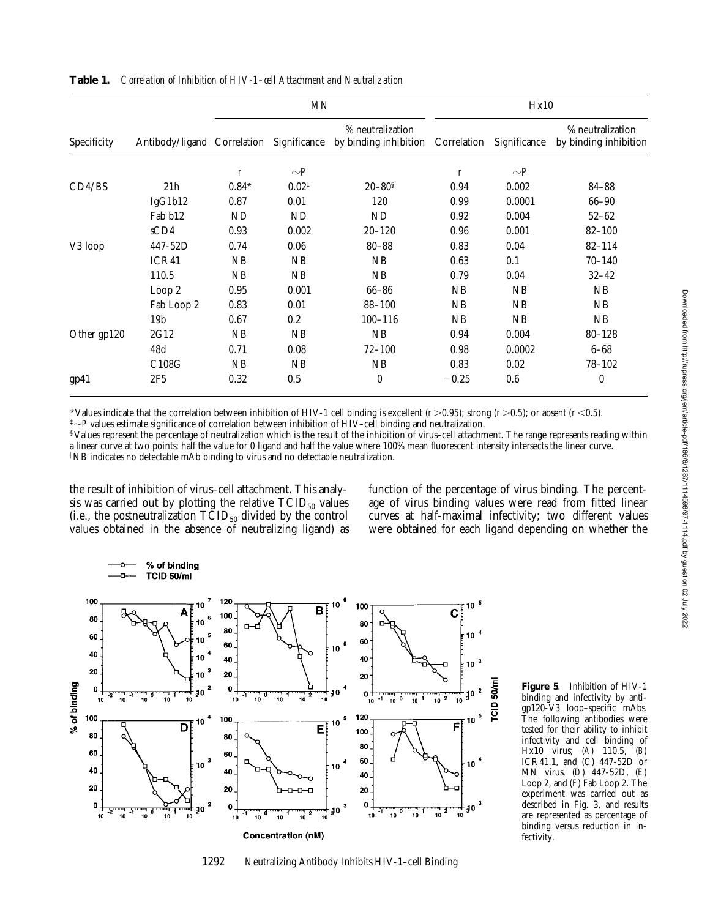|             | Antibody/ligand Correlation | MN               |                   |                                                                    | Hx10             |              |                                           |  |
|-------------|-----------------------------|------------------|-------------------|--------------------------------------------------------------------|------------------|--------------|-------------------------------------------|--|
| Specificity |                             |                  |                   | % neutralization<br>Significance by binding inhibition Correlation |                  | Significance | % neutralization<br>by binding inhibition |  |
|             |                             | $\boldsymbol{r}$ | $\sim P$          |                                                                    | $\boldsymbol{r}$ | $\sim P$     |                                           |  |
| CD4/BS      | 21h                         | $0.84*$          | $0.02^{\ddagger}$ | $20 - 80^{\rm s}$                                                  | 0.94             | 0.002        | 84-88                                     |  |
|             | IgG1b12                     | 0.87             | 0.01              | 120                                                                | 0.99             | 0.0001       | $66 - 90$                                 |  |
|             | Fab b12                     | <b>ND</b>        | <b>ND</b>         | ND                                                                 | 0.92             | 0.004        | $52 - 62$                                 |  |
|             | sCD4                        | 0.93             | 0.002             | $20 - 120$                                                         | 0.96             | 0.001        | $82 - 100$                                |  |
| V3 loop     | 447-52D                     | 0.74             | 0.06              | $80 - 88$                                                          | 0.83             | 0.04         | $82 - 114$                                |  |
|             | ICR41                       | NB               | NB                | NB                                                                 | 0.63             | 0.1          | $70 - 140$                                |  |
|             | 110.5                       | NB               | NB                | NB                                                                 | 0.79             | 0.04         | $32 - 42$                                 |  |
|             | Loop 2                      | 0.95             | 0.001             | $66 - 86$                                                          | NB               | NB           | NB                                        |  |
|             | Fab Loop 2                  | 0.83             | 0.01              | $88 - 100$                                                         | NB               | NB           | NB                                        |  |
|             | 19 <sub>b</sub>             | 0.67             | 0.2               | $100 - 116$                                                        | NB               | NB           | NB                                        |  |
| Other gp120 | 2G12                        | NB               | NB                | NB                                                                 | 0.94             | 0.004        | $80 - 128$                                |  |
|             | 48d                         | 0.71             | 0.08              | $72 - 100$                                                         | 0.98             | 0.0002       | $6 - 68$                                  |  |
|             | C108G                       | NB               | NB                | NB                                                                 | 0.83             | 0.02         | $78 - 102$                                |  |
| gp41        | 2F5                         | 0.32             | 0.5               | $\mathbf{0}$                                                       | $-0.25$          | 0.6          | $\boldsymbol{0}$                          |  |

**Table 1.** *Correlation of Inhibition of HIV-1–cell Attachment and Neutralization*

\*Values indicate that the correlation between inhibition of HIV-1 cell binding is excellent  $(r>0.95)$ ; strong  $(r>0.5)$ ; or absent  $(r<0.5)$ .  $\sqrt[+1]{p}$  values estimate significance of correlation between inhibition of HIV–cell binding and neutralization.

§Values represent the percentage of neutralization which is the result of the inhibition of virus–cell attachment. The range represents reading within a linear curve at two points; half the value for 0 ligand and half the value where 100% mean fluorescent intensity intersects the linear curve. i NB indicates no detectable mAb binding to virus and no detectable neutralization.

the result of inhibition of virus–cell attachment. This analysis was carried out by plotting the relative  $TCID_{50}$  values (i.e., the postneutralization  $T\check{C}ID_{50}$  divided by the control values obtained in the absence of neutralizing ligand) as function of the percentage of virus binding. The percentage of virus binding values were read from fitted linear curves at half-maximal infectivity; two different values were obtained for each ligand depending on whether the



1292 Neutralizing Antibody Inhibits HIV-1–cell Binding

**Figure 5**. Inhibition of HIV-1 binding and infectivity by antigp120-V3 loop–specific mAbs. The following antibodies were tested for their ability to inhibit infectivity and cell binding of Hx10 virus; (*A*) 110.5, (*B*) ICR41.1, and (*C*) 447-52D or MN virus, (*D*) 447-52D, (*E*) Loop 2, and (*F*) Fab Loop 2. The experiment was carried out as described in Fig. 3, and results are represented as percentage of binding versus reduction in infectivity.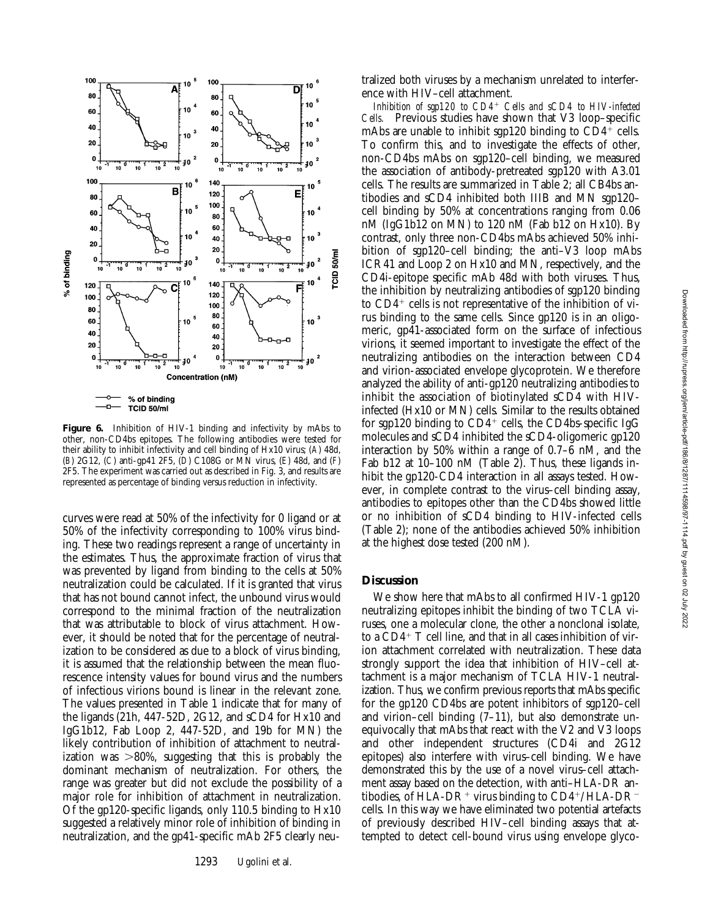

**Figure 6.** Inhibition of HIV-1 binding and infectivity by mAbs to other, non-CD4bs epitopes. The following antibodies were tested for their ability to inhibit infectivity and cell binding of Hx10 virus; (*A*) 48d, (*B*) 2G12, (*C*) anti-gp41 2F5, (*D*) C108G or MN virus, (*E*) 48d, and (*F*) 2F5. The experiment was carried out as described in Fig. 3, and results are represented as percentage of binding versus reduction in infectivity.

curves were read at 50% of the infectivity for 0 ligand or at 50% of the infectivity corresponding to 100% virus binding. These two readings represent a range of uncertainty in the estimates. Thus, the approximate fraction of virus that was prevented by ligand from binding to the cells at 50% neutralization could be calculated. If it is granted that virus that has not bound cannot infect, the unbound virus would correspond to the minimal fraction of the neutralization that was attributable to block of virus attachment. However, it should be noted that for the percentage of neutralization to be considered as due to a block of virus binding, it is assumed that the relationship between the mean fluorescence intensity values for bound virus and the numbers of infectious virions bound is linear in the relevant zone. The values presented in Table 1 indicate that for many of the ligands (21h, 447-52D, 2G12, and sCD4 for Hx10 and IgG1b12, Fab Loop 2, 447-52D, and 19b for MN) the likely contribution of inhibition of attachment to neutralization was  $>80\%$ , suggesting that this is probably the dominant mechanism of neutralization. For others, the range was greater but did not exclude the possibility of a major role for inhibition of attachment in neutralization. Of the gp120-specific ligands, only 110.5 binding to Hx10 suggested a relatively minor role of inhibition of binding in neutralization, and the gp41-specific mAb 2F5 clearly neutralized both viruses by a mechanism unrelated to interference with HIV–cell attachment.

*Inhibition of sgp120 to CD4*<sup>1</sup> *Cells and sCD4 to HIV-infected Cells.* Previous studies have shown that V3 loop–specific mAbs are unable to inhibit sgp120 binding to  $CD4^+$  cells. To confirm this, and to investigate the effects of other, non-CD4bs mAbs on sgp120–cell binding, we measured the association of antibody-pretreated sgp120 with A3.01 cells. The results are summarized in Table 2; all CB4bs antibodies and sCD4 inhibited both IIIB and MN sgp120– cell binding by 50% at concentrations ranging from 0.06 nM (IgG1b12 on MN) to 120 nM (Fab b12 on Hx10). By contrast, only three non-CD4bs mAbs achieved 50% inhibition of sgp120–cell binding; the anti–V3 loop mAbs ICR41 and Loop 2 on Hx10 and MN, respectively, and the CD4i-epitope specific mAb 48d with both viruses. Thus, the inhibition by neutralizing antibodies of sgp120 binding to  $CD4^+$  cells is not representative of the inhibition of virus binding to the same cells. Since gp120 is in an oligomeric, gp41-associated form on the surface of infectious virions, it seemed important to investigate the effect of the neutralizing antibodies on the interaction between CD4 and virion-associated envelope glycoprotein. We therefore analyzed the ability of anti-gp120 neutralizing antibodies to inhibit the association of biotinylated sCD4 with HIVinfected (Hx10 or MN) cells. Similar to the results obtained for sgp120 binding to  $CD4^+$  cells, the CD4bs-specific IgG molecules and sCD4 inhibited the sCD4-oligomeric gp120 interaction by 50% within a range of 0.7–6 nM, and the Fab b12 at 10–100 nM (Table 2). Thus, these ligands inhibit the gp120-CD4 interaction in all assays tested. However, in complete contrast to the virus–cell binding assay, antibodies to epitopes other than the CD4bs showed little or no inhibition of sCD4 binding to HIV-infected cells (Table 2); none of the antibodies achieved 50% inhibition at the highest dose tested (200 nM).

## **Discussion**

We show here that mAbs to all confirmed HIV-1 gp120 neutralizing epitopes inhibit the binding of two TCLA viruses, one a molecular clone, the other a nonclonal isolate, to a  $CD4+T$  cell line, and that in all cases inhibition of virion attachment correlated with neutralization. These data strongly support the idea that inhibition of HIV–cell attachment is a major mechanism of TCLA HIV-1 neutralization. Thus, we confirm previous reports that mAbs specific for the gp120 CD4bs are potent inhibitors of sgp120–cell and virion–cell binding (7–11), but also demonstrate unequivocally that mAbs that react with the V2 and V3 loops and other independent structures (CD4i and 2G12 epitopes) also interfere with virus–cell binding. We have demonstrated this by the use of a novel virus–cell attachment assay based on the detection, with anti–HLA-DR antibodies, of HLA-DR<sup>+</sup> virus binding to  $CD4^+/HLA-DR^$ cells. In this way we have eliminated two potential artefacts of previously described HIV–cell binding assays that attempted to detect cell-bound virus using envelope glyco-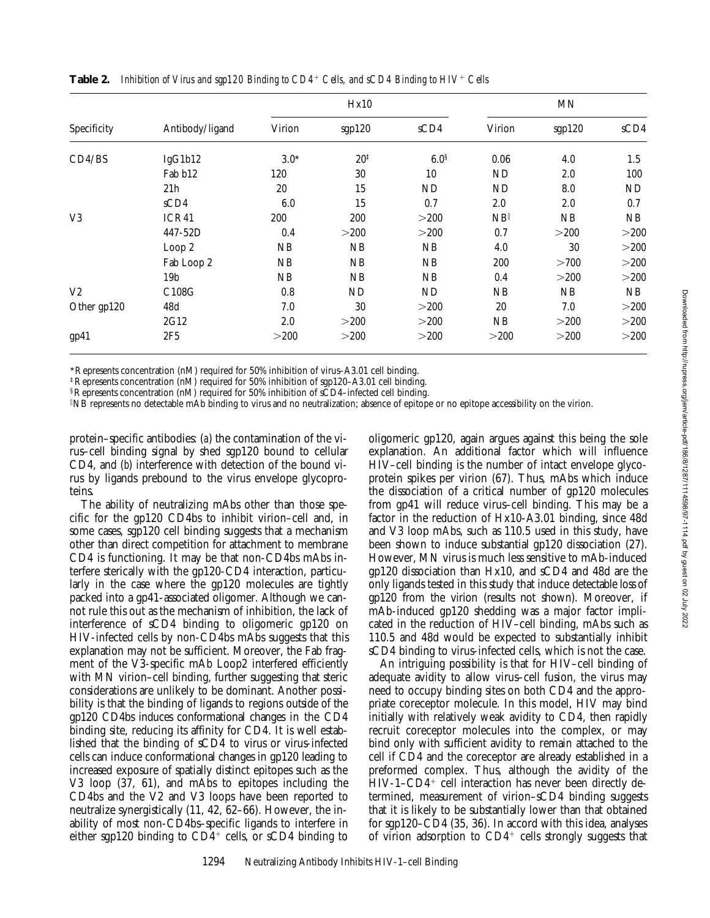|                | Antibody/ligand | Hx10   |                 |                  | $\ensuremath{\text{MN}}$ |        |      |
|----------------|-----------------|--------|-----------------|------------------|--------------------------|--------|------|
| Specificity    |                 | Virion | sgp120          | sCD4             | Virion                   | sgp120 | sCD4 |
| CD4/BS         | IgG1b12         | $3.0*$ | $20^{\ddagger}$ | 6.0 <sup>§</sup> | 0.06                     | 4.0    | 1.5  |
|                | Fab b12         | 120    | 30              | 10               | ND                       | 2.0    | 100  |
|                | 21h             | 20     | 15              | <b>ND</b>        | ND                       | 8.0    | ND   |
|                | sCD4            | 6.0    | 15              | 0.7              | 2.0                      | 2.0    | 0.7  |
| V <sub>3</sub> | ICR41           | 200    | 200             | >200             | NB                       | NB     | NB   |
|                | 447-52D         | 0.4    | >200            | >200             | 0.7                      | >200   | >200 |
|                | Loop 2          | NB     | NB              | NB               | 4.0                      | 30     | >200 |
|                | Fab Loop 2      | NB     | NB              | NB               | 200                      | >700   | >200 |
|                | 19b             | NB     | NB              | NB               | 0.4                      | >200   | >200 |
| V <sub>2</sub> | C108G           | 0.8    | ND              | ND               | NB                       | NB     | NB   |
| Other gp120    | 48d             | 7.0    | 30              | >200             | 20                       | 7.0    | >200 |
|                | 2G12            | 2.0    | >200            | >200             | NB                       | >200   | >200 |
| gp41           | 2F5             | >200   | >200            | >200             | >200                     | >200   | >200 |

**Table 2.** *Inhibition of Virus and sgp120 Binding to CD4<sup>+</sup> Cells, and sCD4 Binding to HIV<sup>+</sup> Cells* 

\*Represents concentration (nM) required for 50% inhibition of virus–A3.01 cell binding.

‡Represents concentration (nM) required for 50% inhibition of sgp120–A3.01 cell binding.

§Represents concentration (nM) required for 50% inhibition of sCD4–infected cell binding.

i NB represents no detectable mAb binding to virus and no neutralization; absence of epitope or no epitope accessibility on the virion.

protein–specific antibodies: (*a*) the contamination of the virus–cell binding signal by shed sgp120 bound to cellular CD4, and (*b*) interference with detection of the bound virus by ligands prebound to the virus envelope glycoproteins.

The ability of neutralizing mAbs other than those specific for the gp120 CD4bs to inhibit virion–cell and, in some cases, sgp120 cell binding suggests that a mechanism other than direct competition for attachment to membrane CD4 is functioning. It may be that non-CD4bs mAbs interfere sterically with the gp120-CD4 interaction, particularly in the case where the gp120 molecules are tightly packed into a gp41-associated oligomer. Although we cannot rule this out as the mechanism of inhibition, the lack of interference of sCD4 binding to oligomeric gp120 on HIV-infected cells by non-CD4bs mAbs suggests that this explanation may not be sufficient. Moreover, the Fab fragment of the V3-specific mAb Loop2 interfered efficiently with MN virion–cell binding, further suggesting that steric considerations are unlikely to be dominant. Another possibility is that the binding of ligands to regions outside of the gp120 CD4bs induces conformational changes in the CD4 binding site, reducing its affinity for CD4. It is well established that the binding of sCD4 to virus or virus-infected cells can induce conformational changes in gp120 leading to increased exposure of spatially distinct epitopes such as the V3 loop (37, 61), and mAbs to epitopes including the CD4bs and the V2 and V3 loops have been reported to neutralize synergistically (11, 42, 62–66). However, the inability of most non-CD4bs–specific ligands to interfere in either sgp120 binding to  $CD4^+$  cells, or sCD4 binding to

oligomeric gp120, again argues against this being the sole explanation. An additional factor which will influence HIV–cell binding is the number of intact envelope glycoprotein spikes per virion (67). Thus, mAbs which induce the dissociation of a critical number of gp120 molecules from gp41 will reduce virus–cell binding. This may be a factor in the reduction of Hx10-A3.01 binding, since 48d and V3 loop mAbs, such as 110.5 used in this study, have been shown to induce substantial gp120 dissociation (27). However, MN virus is much less sensitive to mAb-induced gp120 dissociation than Hx10, and sCD4 and 48d are the only ligands tested in this study that induce detectable loss of gp120 from the virion (results not shown). Moreover, if mAb-induced gp120 shedding was a major factor implicated in the reduction of HIV–cell binding, mAbs such as 110.5 and 48d would be expected to substantially inhibit sCD4 binding to virus-infected cells, which is not the case.

An intriguing possibility is that for HIV–cell binding of adequate avidity to allow virus–cell fusion, the virus may need to occupy binding sites on both CD4 and the appropriate coreceptor molecule. In this model, HIV may bind initially with relatively weak avidity to CD4, then rapidly recruit coreceptor molecules into the complex, or may bind only with sufficient avidity to remain attached to the cell if CD4 and the coreceptor are already established in a preformed complex. Thus, although the avidity of the  $HIV-1-CD4+$  cell interaction has never been directly determined, measurement of virion–sCD4 binding suggests that it is likely to be substantially lower than that obtained for sgp120–CD4 (35, 36). In accord with this idea, analyses of virion adsorption to  $CD4^+$  cells strongly suggests that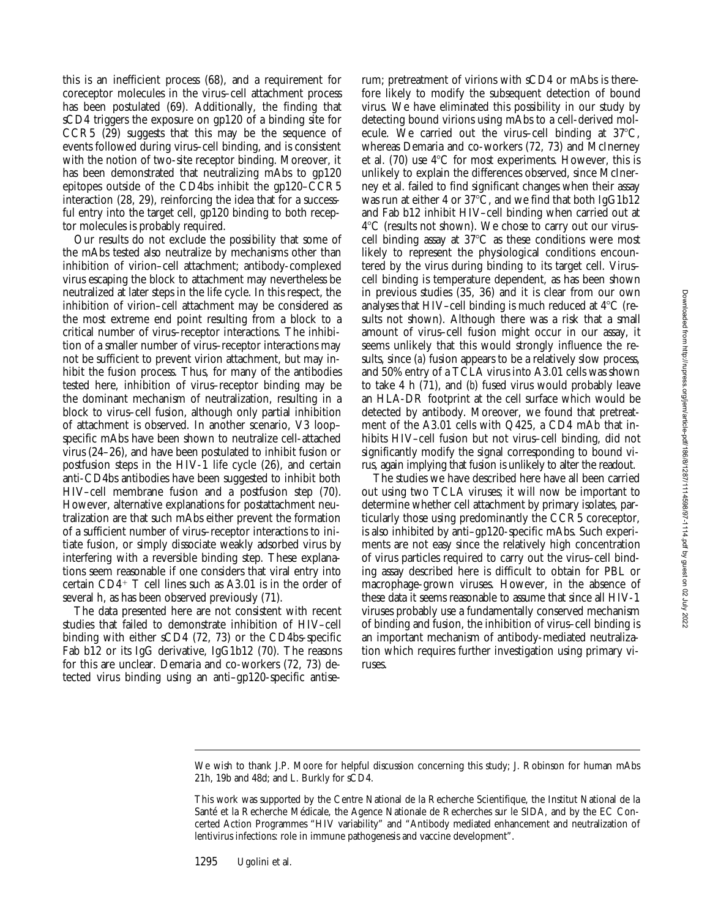this is an inefficient process (68), and a requirement for coreceptor molecules in the virus–cell attachment process has been postulated (69). Additionally, the finding that sCD4 triggers the exposure on gp120 of a binding site for CCR5 (29) suggests that this may be the sequence of events followed during virus–cell binding, and is consistent with the notion of two-site receptor binding. Moreover, it has been demonstrated that neutralizing mAbs to gp120 epitopes outside of the CD4bs inhibit the gp120–CCR5 interaction (28, 29), reinforcing the idea that for a successful entry into the target cell, gp120 binding to both receptor molecules is probably required.

Our results do not exclude the possibility that some of the mAbs tested also neutralize by mechanisms other than inhibition of virion–cell attachment; antibody-complexed virus escaping the block to attachment may nevertheless be neutralized at later steps in the life cycle. In this respect, the inhibition of virion–cell attachment may be considered as the most extreme end point resulting from a block to a critical number of virus–receptor interactions. The inhibition of a smaller number of virus–receptor interactions may not be sufficient to prevent virion attachment, but may inhibit the fusion process. Thus, for many of the antibodies tested here, inhibition of virus–receptor binding may be the dominant mechanism of neutralization, resulting in a block to virus–cell fusion, although only partial inhibition of attachment is observed. In another scenario, V3 loop– specific mAbs have been shown to neutralize cell-attached virus (24–26), and have been postulated to inhibit fusion or postfusion steps in the HIV-1 life cycle (26), and certain anti-CD4bs antibodies have been suggested to inhibit both HIV–cell membrane fusion and a postfusion step (70). However, alternative explanations for postattachment neutralization are that such mAbs either prevent the formation of a sufficient number of virus–receptor interactions to initiate fusion, or simply dissociate weakly adsorbed virus by interfering with a reversible binding step. These explanations seem reasonable if one considers that viral entry into certain  $CD4+T$  cell lines such as A3.01 is in the order of several h, as has been observed previously (71).

The data presented here are not consistent with recent studies that failed to demonstrate inhibition of HIV–cell binding with either sCD4 (72, 73) or the CD4bs-specific Fab b12 or its IgG derivative, IgG1b12 (70). The reasons for this are unclear. Demaria and co-workers (72, 73) detected virus binding using an anti–gp120-specific antiserum; pretreatment of virions with sCD4 or mAbs is therefore likely to modify the subsequent detection of bound virus. We have eliminated this possibility in our study by detecting bound virions using mAbs to a cell-derived molecule. We carried out the virus–cell binding at  $37^{\circ}$ C, whereas Demaria and co-workers (72, 73) and McInerney et al. (70) use  $4^{\circ}$ C for most experiments. However, this is unlikely to explain the differences observed, since McInerney et al. failed to find significant changes when their assay was run at either 4 or  $37^{\circ}\text{C}$ , and we find that both IgG1b12 and Fab b12 inhibit HIV–cell binding when carried out at  $4^{\circ}$ C (results not shown). We chose to carry out our virus– cell binding assay at  $37^{\circ}$ C as these conditions were most likely to represent the physiological conditions encountered by the virus during binding to its target cell. Virus– cell binding is temperature dependent, as has been shown in previous studies (35, 36) and it is clear from our own analyses that HIV-cell binding is much reduced at  $4^{\circ}C$  (results not shown). Although there was a risk that a small amount of virus–cell fusion might occur in our assay, it seems unlikely that this would strongly influence the results, since (*a*) fusion appears to be a relatively slow process, and 50% entry of a TCLA virus into A3.01 cells was shown to take 4 h (71), and (*b*) fused virus would probably leave an HLA-DR footprint at the cell surface which would be detected by antibody. Moreover, we found that pretreatment of the A3.01 cells with Q425, a CD4 mAb that inhibits HIV–cell fusion but not virus–cell binding, did not significantly modify the signal corresponding to bound virus, again implying that fusion is unlikely to alter the readout.

The studies we have described here have all been carried out using two TCLA viruses; it will now be important to determine whether cell attachment by primary isolates, particularly those using predominantly the CCR5 coreceptor, is also inhibited by anti–gp120-specific mAbs. Such experiments are not easy since the relatively high concentration of virus particles required to carry out the virus–cell binding assay described here is difficult to obtain for PBL or macrophage-grown viruses. However, in the absence of these data it seems reasonable to assume that since all HIV-1 viruses probably use a fundamentally conserved mechanism of binding and fusion, the inhibition of virus–cell binding is an important mechanism of antibody-mediated neutralization which requires further investigation using primary viruses.

We wish to thank J.P. Moore for helpful discussion concerning this study; J. Robinson for human mAbs 21h, 19b and 48d; and L. Burkly for sCD4.

This work was supported by the Centre National de la Recherche Scientifique, the Institut National de la Santé et la Recherche Médicale, the Agence Nationale de Recherches sur le SIDA, and by the EC Concerted Action Programmes "HIV variability" and "Antibody mediated enhancement and neutralization of lentivirus infections: role in immune pathogenesis and vaccine development".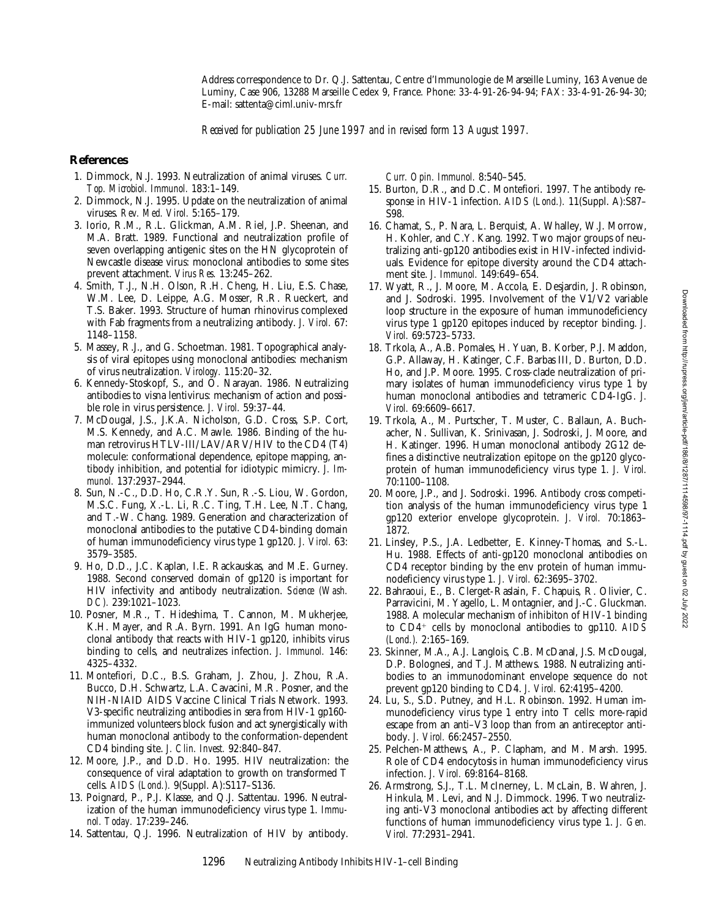Address correspondence to Dr. Q.J. Sattentau, Centre d'Immunologie de Marseille Luminy, 163 Avenue de Luminy, Case 906, 13288 Marseille Cedex 9, France. Phone: 33-4-91-26-94-94; FAX: 33-4-91-26-94-30; E-mail: sattenta@ciml.univ-mrs.fr

*Received for publication 25 June 1997 and in revised form 13 August 1997.*

## **References**

- 1. Dimmock, N.J. 1993. Neutralization of animal viruses. *Curr. Top. Microbiol. Immunol.* 183:1–149.
- 2. Dimmock, N.J. 1995. Update on the neutralization of animal viruses. *Rev. Med. Virol.* 5:165–179.
- 3. Iorio, R.M., R.L. Glickman, A.M. Riel, J.P. Sheenan, and M.A. Bratt. 1989. Functional and neutralization profile of seven overlapping antigenic sites on the HN glycoprotein of Newcastle disease virus: monoclonal antibodies to some sites prevent attachment. *Virus Res.* 13:245–262.
- 4. Smith, T.J., N.H. Olson, R.H. Cheng, H. Liu, E.S. Chase, W.M. Lee, D. Leippe, A.G. Mosser, R.R. Rueckert, and T.S. Baker. 1993. Structure of human rhinovirus complexed with Fab fragments from a neutralizing antibody. *J. Virol.* 67: 1148–1158.
- 5. Massey, R.J., and G. Schoetman. 1981. Topographical analysis of viral epitopes using monoclonal antibodies: mechanism of virus neutralization. *Virology.* 115:20–32.
- 6. Kennedy-Stoskopf, S., and O. Narayan. 1986. Neutralizing antibodies to visna lentivirus: mechanism of action and possible role in virus persistence. *J. Virol.* 59:37–44.
- 7. McDougal, J.S., J.K.A. Nicholson, G.D. Cross, S.P. Cort, M.S. Kennedy, and A.C. Mawle. 1986. Binding of the human retrovirus HTLV-III/LAV/ARV/HIV to the CD4 (T4) molecule: conformational dependence, epitope mapping, antibody inhibition, and potential for idiotypic mimicry. *J. Immunol.* 137:2937–2944.
- 8. Sun, N.-C., D.D. Ho, C.R.Y. Sun, R.-S. Liou, W. Gordon, M.S.C. Fung, X.-L. Li, R.C. Ting, T.H. Lee, N.T. Chang, and T.-W. Chang. 1989. Generation and characterization of monoclonal antibodies to the putative CD4-binding domain of human immunodeficiency virus type 1 gp120. *J. Virol.* 63: 3579–3585.
- 9. Ho, D.D., J.C. Kaplan, I.E. Rackauskas, and M.E. Gurney. 1988. Second conserved domain of gp120 is important for HIV infectivity and antibody neutralization. *Science (Wash. DC).* 239:1021–1023.
- 10. Posner, M.R., T. Hideshima, T. Cannon, M. Mukherjee, K.H. Mayer, and R.A. Byrn. 1991. An IgG human monoclonal antibody that reacts with HIV-1 gp120, inhibits virus binding to cells, and neutralizes infection. *J. Immunol.* 146: 4325–4332.
- 11. Montefiori, D.C., B.S. Graham, J. Zhou, J. Zhou, R.A. Bucco, D.H. Schwartz, L.A. Cavacini, M.R. Posner, and the NIH-NIAID AIDS Vaccine Clinical Trials Network. 1993. V3-specific neutralizing antibodies in sera from HIV-1 gp160 immunized volunteers block fusion and act synergistically with human monoclonal antibody to the conformation-dependent CD4 binding site. *J. Clin. Invest.* 92:840–847.
- 12. Moore, J.P., and D.D. Ho. 1995. HIV neutralization: the consequence of viral adaptation to growth on transformed T cells. *AIDS (Lond.).* 9(Suppl. A):S117–S136.
- 13. Poignard, P., P.J. Klasse, and Q.J. Sattentau. 1996. Neutralization of the human immunodeficiency virus type 1. *Immunol. Today.* 17:239–246.
- 14. Sattentau, Q.J. 1996. Neutralization of HIV by antibody.

*Curr. Opin. Immunol.* 8:540–545.

- 15. Burton, D.R., and D.C. Montefiori. 1997. The antibody response in HIV-1 infection. *AIDS (Lond.).* 11(Suppl. A):S87– S98.
- 16. Chamat, S., P. Nara, L. Berquist, A. Whalley, W.J. Morrow, H. Kohler, and C.Y. Kang. 1992. Two major groups of neutralizing anti-gp120 antibodies exist in HIV-infected individuals. Evidence for epitope diversity around the CD4 attachment site. *J. Immunol.* 149:649–654.
- 17. Wyatt, R., J. Moore, M. Accola, E. Desjardin, J. Robinson, and J. Sodroski. 1995. Involvement of the V1/V2 variable loop structure in the exposure of human immunodeficiency virus type 1 gp120 epitopes induced by receptor binding. *J. Virol.* 69:5723–5733.
- 18. Trkola, A., A.B. Pomales, H. Yuan, B. Korber, P.J. Maddon, G.P. Allaway, H. Katinger, C.F. Barbas III, D. Burton, D.D. Ho, and J.P. Moore. 1995. Cross-clade neutralization of primary isolates of human immunodeficiency virus type 1 by human monoclonal antibodies and tetrameric CD4-IgG. *J. Virol.* 69:6609–6617.
- 19. Trkola, A., M. Purtscher, T. Muster, C. Ballaun, A. Buchacher, N. Sullivan, K. Srinivasan, J. Sodroski, J. Moore, and H. Katinger. 1996. Human monoclonal antibody 2G12 defines a distinctive neutralization epitope on the gp120 glycoprotein of human immunodeficiency virus type 1. *J. Virol.* 70:1100–1108.
- 20. Moore, J.P., and J. Sodroski. 1996. Antibody cross competition analysis of the human immunodeficiency virus type 1 gp120 exterior envelope glycoprotein. *J. Virol.* 70:1863– 1872.
- 21. Linsley, P.S., J.A. Ledbetter, E. Kinney-Thomas, and S.-L. Hu. 1988. Effects of anti-gp120 monoclonal antibodies on CD4 receptor binding by the env protein of human immunodeficiency virus type 1. *J. Virol.* 62:3695–3702.
- 22. Bahraoui, E., B. Clerget-Raslain, F. Chapuis, R. Olivier, C. Parravicini, M. Yagello, L. Montagnier, and J.-C. Gluckman. 1988. A molecular mechanism of inhibiton of HIV-1 binding to CD4<sup>+</sup> cells by monoclonal antibodies to gp110. AIDS *(Lond.).* 2:165–169.
- 23. Skinner, M.A., A.J. Langlois, C.B. McDanal, J.S. McDougal, D.P. Bolognesi, and T.J. Matthews. 1988. Neutralizing antibodies to an immunodominant envelope sequence do not prevent gp120 binding to CD4. *J. Virol.* 62:4195–4200.
- 24. Lu, S., S.D. Putney, and H.L. Robinson. 1992. Human immunodeficiency virus type 1 entry into T cells: more-rapid escape from an anti–V3 loop than from an antireceptor antibody. *J. Virol.* 66:2457–2550.
- 25. Pelchen-Matthews, A., P. Clapham, and M. Marsh. 1995. Role of CD4 endocytosis in human immunodeficiency virus infection. *J. Virol.* 69:8164–8168.
- 26. Armstrong, S.J., T.L. McInerney, L. McLain, B. Wahren, J. Hinkula, M. Levi, and N.J. Dimmock. 1996. Two neutralizing anti-V3 monoclonal antibodies act by affecting different functions of human immunodeficiency virus type 1. *J. Gen. Virol.* 77:2931–2941.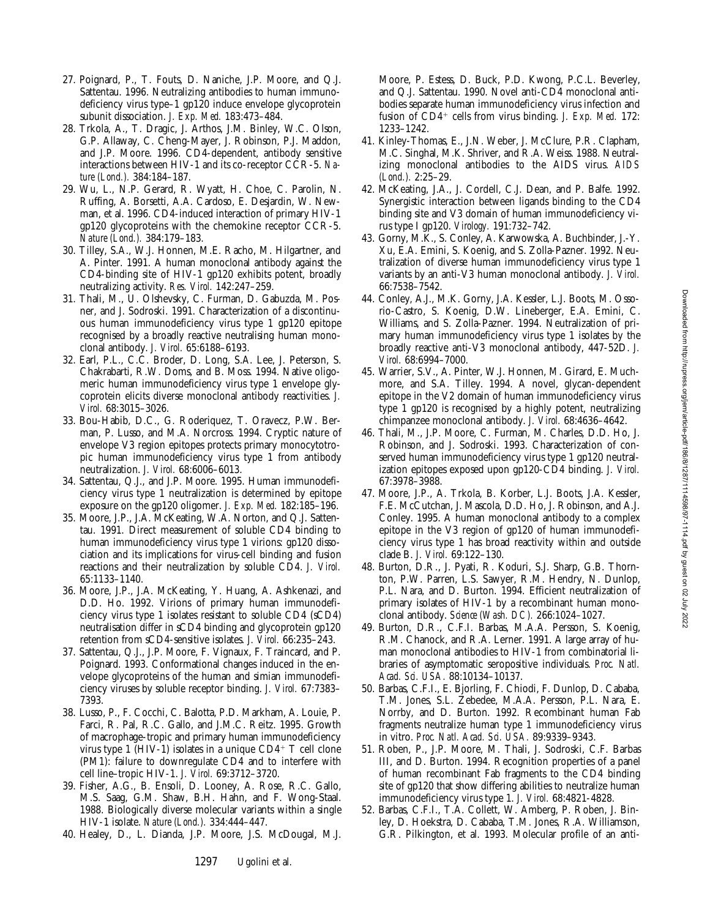- 27. Poignard, P., T. Fouts, D. Naniche, J.P. Moore, and Q.J. Sattentau. 1996. Neutralizing antibodies to human immunodeficiency virus type–1 gp120 induce envelope glycoprotein subunit dissociation. *J. Exp. Med.* 183:473–484.
- 28. Trkola, A., T. Dragic, J. Arthos, J.M. Binley, W.C. Olson, G.P. Allaway, C. Cheng-Mayer, J. Robinson, P.J. Maddon, and J.P. Moore. 1996. CD4-dependent, antibody sensitive interactions between HIV-1 and its co-receptor CCR-5. *Nature (Lond.).* 384:184–187.
- 29. Wu, L., N.P. Gerard, R. Wyatt, H. Choe, C. Parolin, N. Ruffing, A. Borsetti, A.A. Cardoso, E. Desjardin, W. Newman, et al. 1996. CD4-induced interaction of primary HIV-1 gp120 glycoproteins with the chemokine receptor CCR-5. *Nature (Lond.).* 384:179–183.
- 30. Tilley, S.A., W.J. Honnen, M.E. Racho, M. Hilgartner, and A. Pinter. 1991. A human monoclonal antibody against the CD4-binding site of HIV-1 gp120 exhibits potent, broadly neutralizing activity. *Res. Virol.* 142:247–259.
- 31. Thali, M., U. Olshevsky, C. Furman, D. Gabuzda, M. Posner, and J. Sodroski. 1991. Characterization of a discontinuous human immunodeficiency virus type 1 gp120 epitope recognised by a broadly reactive neutralising human monoclonal antibody. *J. Virol.* 65:6188–6193.
- 32. Earl, P.L., C.C. Broder, D. Long, S.A. Lee, J. Peterson, S. Chakrabarti, R.W. Doms, and B. Moss. 1994. Native oligomeric human immunodeficiency virus type 1 envelope glycoprotein elicits diverse monoclonal antibody reactivities. *J. Virol.* 68:3015–3026.
- 33. Bou-Habib, D.C., G. Roderiquez, T. Oravecz, P.W. Berman, P. Lusso, and M.A. Norcross. 1994. Cryptic nature of envelope V3 region epitopes protects primary monocytotropic human immunodeficiency virus type 1 from antibody neutralization. *J. Virol.* 68:6006–6013.
- 34. Sattentau, Q.J., and J.P. Moore. 1995. Human immunodeficiency virus type 1 neutralization is determined by epitope exposure on the gp120 oligomer. *J. Exp. Med.* 182:185–196.
- 35. Moore, J.P., J.A. McKeating, W.A. Norton, and Q.J. Sattentau. 1991. Direct measurement of soluble CD4 binding to human immunodeficiency virus type 1 virions: gp120 dissociation and its implications for virus-cell binding and fusion reactions and their neutralization by soluble CD4. *J. Virol.* 65:1133–1140.
- 36. Moore, J.P., J.A. McKeating, Y. Huang, A. Ashkenazi, and D.D. Ho. 1992. Virions of primary human immunodeficiency virus type 1 isolates resistant to soluble CD4 (sCD4) neutralisation differ in sCD4 binding and glycoprotein gp120 retention from sCD4-sensitive isolates. *J. Virol.* 66:235–243.
- 37. Sattentau, Q.J., J.P. Moore, F. Vignaux, F. Traincard, and P. Poignard. 1993. Conformational changes induced in the envelope glycoproteins of the human and simian immunodeficiency viruses by soluble receptor binding. *J. Virol.* 67:7383– 7393.
- 38. Lusso, P., F. Cocchi, C. Balotta, P.D. Markham, A. Louie, P. Farci, R. Pal, R.C. Gallo, and J.M.C. Reitz. 1995. Growth of macrophage-tropic and primary human immunodeficiency virus type 1 (HIV-1) isolates in a unique  $CD4^+$  T cell clone (PM1): failure to downregulate CD4 and to interfere with cell line–tropic HIV-1. *J. Virol.* 69:3712–3720.
- 39. Fisher, A.G., B. Ensoli, D. Looney, A. Rose, R.C. Gallo, M.S. Saag, G.M. Shaw, B.H. Hahn, and F. Wong-Staal. 1988. Biologically diverse molecular variants within a single HIV-1 isolate. *Nature (Lond.).* 334:444–447.
- 40. Healey, D., L. Dianda, J.P. Moore, J.S. McDougal, M.J.

Moore, P. Estess, D. Buck, P.D. Kwong, P.C.L. Beverley, and Q.J. Sattentau. 1990. Novel anti-CD4 monoclonal antibodies separate human immunodeficiency virus infection and fusion of CD4<sup>+</sup> cells from virus binding. *J. Exp. Med.* 172: 1233–1242.

- 41. Kinley-Thomas, E., J.N. Weber, J. McClure, P.R. Clapham, M.C. Singhal, M.K. Shriver, and R.A. Weiss. 1988. Neutralizing monoclonal antibodies to the AIDS virus. *AIDS (Lond.).* 2:25–29.
- 42. McKeating, J.A., J. Cordell, C.J. Dean, and P. Balfe. 1992. Synergistic interaction between ligands binding to the CD4 binding site and V3 domain of human immunodeficiency virus type I gp120. *Virology.* 191:732–742.
- 43. Gorny, M.K., S. Conley, A. Karwowska, A. Buchbinder, J.-Y. Xu, E.A. Emini, S. Koenig, and S. Zolla-Pazner. 1992. Neutralization of diverse human immunodeficiency virus type 1 variants by an anti-V3 human monoclonal antibody. *J. Virol.* 66:7538–7542.
- 44. Conley, A.J., M.K. Gorny, J.A. Kessler, L.J. Boots, M. Ossorio-Castro, S. Koenig, D.W. Lineberger, E.A. Emini, C. Williams, and S. Zolla-Pazner. 1994. Neutralization of primary human immunodeficiency virus type 1 isolates by the broadly reactive anti-V3 monoclonal antibody, 447-52D. *J. Virol.* 68:6994–7000.
- 45. Warrier, S.V., A. Pinter, W.J. Honnen, M. Girard, E. Muchmore, and S.A. Tilley. 1994. A novel, glycan-dependent epitope in the V2 domain of human immunodeficiency virus type 1 gp120 is recognised by a highly potent, neutralizing chimpanzee monoclonal antibody. *J. Virol.* 68:4636–4642.
- 46. Thali, M., J.P. Moore, C. Furman, M. Charles, D.D. Ho, J. Robinson, and J. Sodroski. 1993. Characterization of conserved human immunodeficiency virus type 1 gp120 neutralization epitopes exposed upon gp120-CD4 binding. *J. Virol.* 67:3978–3988.
- 47. Moore, J.P., A. Trkola, B. Korber, L.J. Boots, J.A. Kessler, F.E. McCutchan, J. Mascola, D.D. Ho, J. Robinson, and A.J. Conley. 1995. A human monoclonal antibody to a complex epitope in the V3 region of gp120 of human immunodeficiency virus type 1 has broad reactivity within and outside clade B. *J. Virol.* 69:122–130.
- 48. Burton, D.R., J. Pyati, R. Koduri, S.J. Sharp, G.B. Thornton, P.W. Parren, L.S. Sawyer, R.M. Hendry, N. Dunlop, P.L. Nara, and D. Burton. 1994. Efficient neutralization of primary isolates of HIV-1 by a recombinant human monoclonal antibody. *Science (Wash. DC).* 266:1024–1027.
- 49. Burton, D.R., C.F.I. Barbas, M.A.A. Persson, S. Koenig, R.M. Chanock, and R.A. Lerner. 1991. A large array of human monoclonal antibodies to HIV-1 from combinatorial libraries of asymptomatic seropositive individuals. *Proc. Natl. Acad. Sci. USA.* 88:10134–10137.
- 50. Barbas, C.F.I., E. Bjorling, F. Chiodi, F. Dunlop, D. Cababa, T.M. Jones, S.L. Zebedee, M.A.A. Persson, P.L. Nara, E. Norrby, and D. Burton. 1992. Recombinant human Fab fragments neutralize human type 1 immunodeficiency virus in vitro. *Proc. Natl. Acad. Sci. USA.* 89:9339–9343.
- 51. Roben, P., J.P. Moore, M. Thali, J. Sodroski, C.F. Barbas III, and D. Burton. 1994. Recognition properties of a panel of human recombinant Fab fragments to the CD4 binding site of gp120 that show differing abilities to neutralize human immunodeficiency virus type 1. *J. Virol.* 68:4821-4828.
- 52. Barbas, C.F.I., T.A. Collett, W. Amberg, P. Roben, J. Binley, D. Hoekstra, D. Cababa, T.M. Jones, R.A. Williamson, G.R. Pilkington, et al. 1993. Molecular profile of an anti-